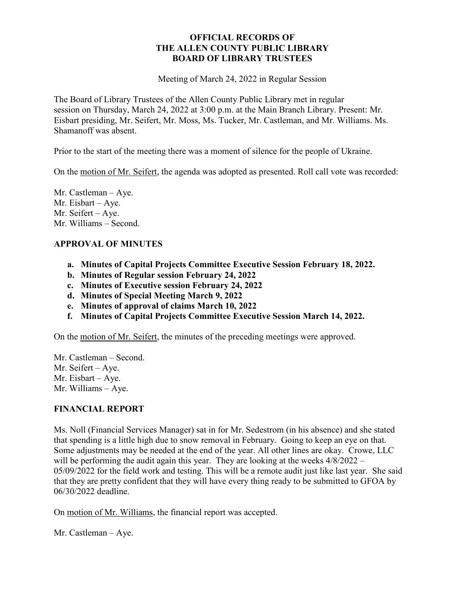### **OFFICIAL RECORDS OF THE ALLEN COUNTY PUBLIC LIBRARY BOARD OF LIBRARY TRUSTEES**

Meeting of March 24, 2022 in Regular Session

The Board of Library Trustees of the Allen County Public Library met in regular session on Thursday, March 24, 2022 at 3:00 p.m. at the Main Branch Library. Present: Mr. Eisbart presiding, Mr. Seifert, Mr. Moss, Ms. Tucker, Mr. Castleman, and Mr. Williams. Ms. Shamanoff was absent.

Prior to the start of the meeting there was a moment of silence for the people of Ukraine.

On the motion of Mr. Seifert, the agenda was adopted as presented. Roll call vote was recorded:

Mr. Castleman – Aye. Mr. Eisbart – Aye. Mr. Seifert – Aye. Mr. Williams – Second.

# **APPROVAL OF MINUTES**

- **a. Minutes of Capital Projects Committee Executive Session February 18, 2022.**
- **b. Minutes of Regular session February 24, 2022**
- **c. Minutes of Executive session February 24, 2022**
- **d. Minutes of Special Meeting March 9, 2022**
- **e. Minutes of approval of claims March 10, 2022**
- **f. Minutes of Capital Projects Committee Executive Session March 14, 2022.**

On the motion of Mr. Seifert, the minutes of the preceding meetings were approved.

Mr. Castleman – Second. Mr. Seifert – Aye. Mr. Eisbart – Aye. Mr. Williams – Aye.

# **FINANCIAL REPORT**

Ms. Noll (Financial Services Manager) sat in for Mr. Sedestrom (in his absence) and she stated that spending is a little high due to snow removal in February. Going to keep an eye on that. Some adjustments may be needed at the end of the year. All other lines are okay. Crowe, LLC will be performing the audit again this year. They are looking at the weeks  $4/8/2022 -$ 05/09/2022 for the field work and testing. This will be a remote audit just like last year. She said that they are pretty confident that they will have every thing ready to be submitted to GFOA by 06/30/2022 deadline.

On motion of Mr. Williams, the financial report was accepted.

Mr. Castleman – Aye.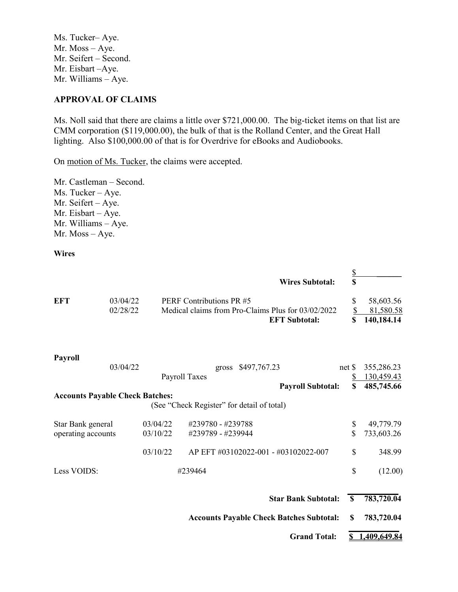Ms. Tucker– Aye. Mr. Moss – Aye. Mr. Seifert – Second. Mr. Eisbart –Aye. Mr. Williams – Aye.

#### **APPROVAL OF CLAIMS**

Ms. Noll said that there are claims a little over \$721,000.00. The big-ticket items on that list are CMM corporation (\$119,000.00), the bulk of that is the Rolland Center, and the Great Hall lighting. Also \$100,000.00 of that is for Overdrive for eBooks and Audiobooks.

On motion of Ms. Tucker, the claims were accepted.

Mr. Castleman – Second. Ms. Tucker – Aye. Mr. Seifert – Aye. Mr. Eisbart – Aye. Mr. Williams – Aye. Mr. Moss – Aye.

**Wires**

|                                        |                                                 |                                                    |                                            |                                      | <b>Wires Subtotal:</b>     | $rac{S}{S}$             |              |
|----------------------------------------|-------------------------------------------------|----------------------------------------------------|--------------------------------------------|--------------------------------------|----------------------------|-------------------------|--------------|
| <b>EFT</b>                             | 03/04/22                                        |                                                    | PERF Contributions PR #5                   |                                      |                            | \$                      | 58,603.56    |
|                                        | 02/28/22                                        | Medical claims from Pro-Claims Plus for 03/02/2022 |                                            |                                      |                            | $\overline{\mathbb{S}}$ | 81,580.58    |
|                                        |                                                 |                                                    |                                            |                                      | <b>EFT Subtotal:</b>       | \$                      | 140,184.14   |
| <b>Payroll</b>                         |                                                 |                                                    |                                            |                                      |                            |                         |              |
|                                        | 03/04/22                                        |                                                    |                                            | gross \$497,767.23                   |                            | net                     | 355,286.23   |
|                                        |                                                 |                                                    | Payroll Taxes                              |                                      |                            | \$                      | 130,459.43   |
|                                        |                                                 |                                                    |                                            |                                      | <b>Payroll Subtotal:</b>   | \$                      | 485,745.66   |
| <b>Accounts Payable Check Batches:</b> |                                                 |                                                    | (See "Check Register" for detail of total) |                                      |                            |                         |              |
| Star Bank general                      |                                                 | 03/04/22                                           | #239780 - #239788                          |                                      |                            | \$                      | 49,779.79    |
| operating accounts                     |                                                 | 03/10/22                                           | #239789 - #239944                          |                                      |                            | \$                      | 733,603.26   |
|                                        |                                                 | 03/10/22                                           |                                            | AP EFT #03102022-001 - #03102022-007 |                            | \$                      | 348.99       |
| Less VOIDS:                            |                                                 |                                                    | #239464                                    |                                      |                            | \$                      | (12.00)      |
|                                        |                                                 |                                                    |                                            |                                      | <b>Star Bank Subtotal:</b> | S                       | 783,720.04   |
|                                        | <b>Accounts Payable Check Batches Subtotal:</b> |                                                    |                                            |                                      | \$.                        | 783,720.04              |              |
|                                        |                                                 |                                                    |                                            |                                      | <b>Grand Total:</b>        |                         | 1,409,649.84 |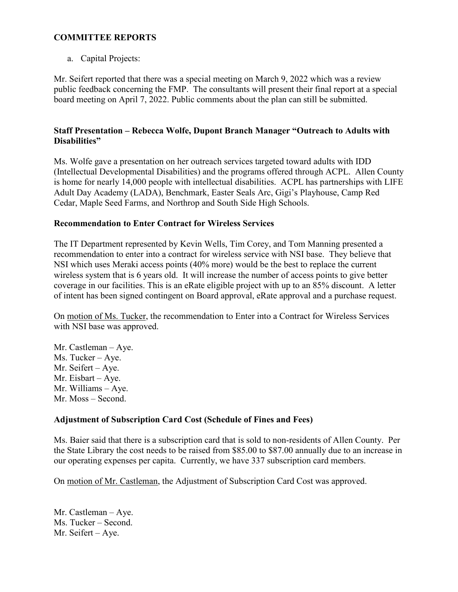## **COMMITTEE REPORTS**

a. Capital Projects:

Mr. Seifert reported that there was a special meeting on March 9, 2022 which was a review public feedback concerning the FMP. The consultants will present their final report at a special board meeting on April 7, 2022. Public comments about the plan can still be submitted.

## **Staff Presentation – Rebecca Wolfe, Dupont Branch Manager "Outreach to Adults with Disabilities"**

Ms. Wolfe gave a presentation on her outreach services targeted toward adults with IDD (Intellectual Developmental Disabilities) and the programs offered through ACPL. Allen County is home for nearly 14,000 people with intellectual disabilities. ACPL has partnerships with LIFE Adult Day Academy (LADA), Benchmark, Easter Seals Arc, Gigi's Playhouse, Camp Red Cedar, Maple Seed Farms, and Northrop and South Side High Schools.

## **Recommendation to Enter Contract for Wireless Services**

The IT Department represented by Kevin Wells, Tim Corey, and Tom Manning presented a recommendation to enter into a contract for wireless service with NSI base. They believe that NSI which uses Meraki access points (40% more) would be the best to replace the current wireless system that is 6 years old. It will increase the number of access points to give better coverage in our facilities. This is an eRate eligible project with up to an 85% discount. A letter of intent has been signed contingent on Board approval, eRate approval and a purchase request.

On motion of Ms. Tucker, the recommendation to Enter into a Contract for Wireless Services with NSI base was approved.

Mr. Castleman – Aye. Ms. Tucker – Aye. Mr. Seifert – Aye. Mr. Eisbart – Aye. Mr. Williams – Aye. Mr. Moss – Second.

# **Adjustment of Subscription Card Cost (Schedule of Fines and Fees)**

Ms. Baier said that there is a subscription card that is sold to non-residents of Allen County. Per the State Library the cost needs to be raised from \$85.00 to \$87.00 annually due to an increase in our operating expenses per capita. Currently, we have 337 subscription card members.

On motion of Mr. Castleman, the Adjustment of Subscription Card Cost was approved.

Mr. Castleman – Aye. Ms. Tucker – Second. Mr. Seifert – Aye.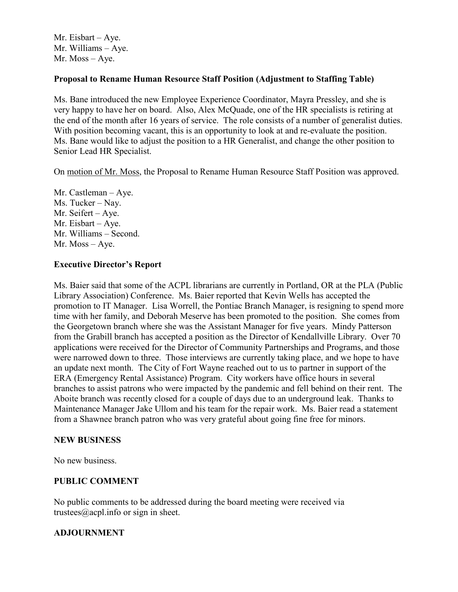Mr. Eisbart – Aye. Mr. Williams – Aye. Mr. Moss – Aye.

### **Proposal to Rename Human Resource Staff Position (Adjustment to Staffing Table)**

Ms. Bane introduced the new Employee Experience Coordinator, Mayra Pressley, and she is very happy to have her on board. Also, Alex McQuade, one of the HR specialists is retiring at the end of the month after 16 years of service. The role consists of a number of generalist duties. With position becoming vacant, this is an opportunity to look at and re-evaluate the position. Ms. Bane would like to adjust the position to a HR Generalist, and change the other position to Senior Lead HR Specialist.

On motion of Mr. Moss, the Proposal to Rename Human Resource Staff Position was approved.

Mr. Castleman – Aye. Ms. Tucker – Nay. Mr. Seifert – Aye. Mr. Eisbart – Aye. Mr. Williams – Second. Mr. Moss – Aye.

### **Executive Director's Report**

Ms. Baier said that some of the ACPL librarians are currently in Portland, OR at the PLA (Public Library Association) Conference. Ms. Baier reported that Kevin Wells has accepted the promotion to IT Manager. Lisa Worrell, the Pontiac Branch Manager, is resigning to spend more time with her family, and Deborah Meserve has been promoted to the position. She comes from the Georgetown branch where she was the Assistant Manager for five years. Mindy Patterson from the Grabill branch has accepted a position as the Director of Kendallville Library. Over 70 applications were received for the Director of Community Partnerships and Programs, and those were narrowed down to three. Those interviews are currently taking place, and we hope to have an update next month. The City of Fort Wayne reached out to us to partner in support of the ERA (Emergency Rental Assistance) Program. City workers have office hours in several branches to assist patrons who were impacted by the pandemic and fell behind on their rent. The Aboite branch was recently closed for a couple of days due to an underground leak. Thanks to Maintenance Manager Jake Ullom and his team for the repair work. Ms. Baier read a statement from a Shawnee branch patron who was very grateful about going fine free for minors.

### **NEW BUSINESS**

No new business.

### **PUBLIC COMMENT**

No public comments to be addressed during the board meeting were received via trustees $@a$ cpl.info or sign in sheet.

### **ADJOURNMENT**